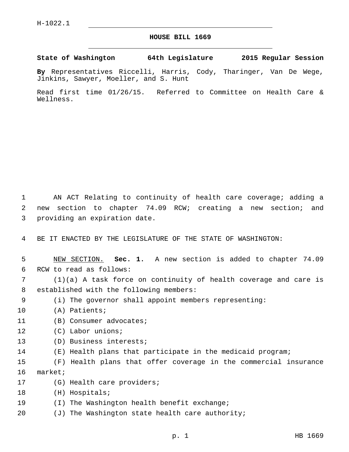## **HOUSE BILL 1669**

**State of Washington 64th Legislature 2015 Regular Session**

**By** Representatives Riccelli, Harris, Cody, Tharinger, Van De Wege, Jinkins, Sawyer, Moeller, and S. Hunt

Read first time 01/26/15. Referred to Committee on Health Care & Wellness.

1 AN ACT Relating to continuity of health care coverage; adding a 2 new section to chapter 74.09 RCW; creating a new section; and 3 providing an expiration date.

4 BE IT ENACTED BY THE LEGISLATURE OF THE STATE OF WASHINGTON:

5 NEW SECTION. **Sec. 1.** A new section is added to chapter 74.09 6 RCW to read as follows:

7 (1)(a) A task force on continuity of health coverage and care is 8 established with the following members:

- 9 (i) The governor shall appoint members representing:
- 10 (A) Patients;
- 11 (B) Consumer advocates;
- 12 (C) Labor unions;
- 13 (D) Business interests;
- 14 (E) Health plans that participate in the medicaid program;

15 (F) Health plans that offer coverage in the commercial insurance 16 market;

- 17 (G) Health care providers;
- 18 (H) Hospitals;
- 19 (I) The Washington health benefit exchange;
- 20  $(J)$  The Washington state health care authority;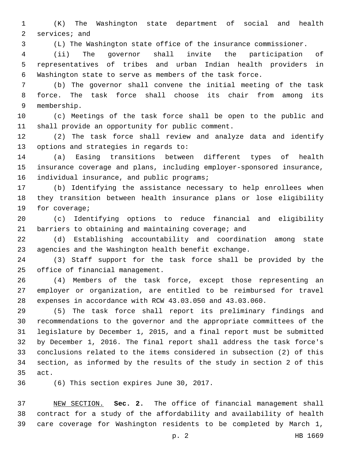(K) The Washington state department of social and health 2 services; and

(L) The Washington state office of the insurance commissioner.

 (ii) The governor shall invite the participation of representatives of tribes and urban Indian health providers in Washington state to serve as members of the task force.

 (b) The governor shall convene the initial meeting of the task force. The task force shall choose its chair from among its membership.9

 (c) Meetings of the task force shall be open to the public and 11 shall provide an opportunity for public comment.

 (2) The task force shall review and analyze data and identify 13 options and strategies in regards to:

 (a) Easing transitions between different types of health insurance coverage and plans, including employer-sponsored insurance, 16 individual insurance, and public programs;

 (b) Identifying the assistance necessary to help enrollees when they transition between health insurance plans or lose eligibility 19 for coverage;

 (c) Identifying options to reduce financial and eligibility barriers to obtaining and maintaining coverage; and

 (d) Establishing accountability and coordination among state agencies and the Washington health benefit exchange.

 (3) Staff support for the task force shall be provided by the 25 office of financial management.

 (4) Members of the task force, except those representing an employer or organization, are entitled to be reimbursed for travel expenses in accordance with RCW 43.03.050 and 43.03.060.

 (5) The task force shall report its preliminary findings and recommendations to the governor and the appropriate committees of the legislature by December 1, 2015, and a final report must be submitted by December 1, 2016. The final report shall address the task force's conclusions related to the items considered in subsection (2) of this section, as informed by the results of the study in section 2 of this 35 act.

36 (6) This section expires June 30, 2017.

 NEW SECTION. **Sec. 2.** The office of financial management shall contract for a study of the affordability and availability of health care coverage for Washington residents to be completed by March 1,